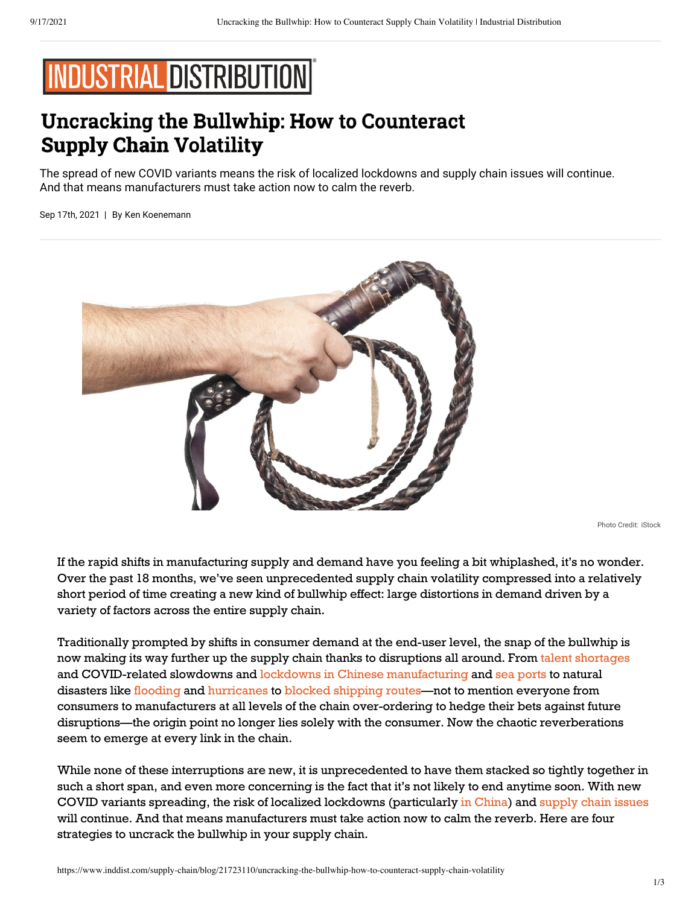# **INDUSTRIAL DISTRIBUTION**

# **Uncracking the Bullwhip: How to Counteract Supply Chain Volatility**

The spread of new COVID variants means the risk of localized lockdowns and supply chain issues will continue. And that means manufacturers must take action now to calm the reverb.

Sep 17th, 2021 | By [Ken Koenemann](https://www.tbmcg.com/people/ken-koenemann/)



Photo Credit: iStock

If the rapid shifts in manufacturing supply and demand have you feeling a bit whiplashed, it's no wonder. Over the past 18 months, we've seen unprecedented supply chain volatility compressed into a relatively short period of time creating a new kind of bullwhip effect: large distortions in demand driven by a variety of factors across the entire supply chain.

Traditionally prompted by shifts in consumer demand at the end-user level, the snap of the bullwhip is now making its way further up the supply chain thanks to disruptions all around. Fro[m talent shortages](https://www.cnn.com/2021/05/04/economy/manufacturing-jobs-economy/index.html)  and COVID-related slowdowns and [lockdowns in Chinese manufacturing](https://www.npr.org/sections/goatsandsoda/2021/09/02/1033396323/china-is-imposing-strict-lockdowns-to-contain-new-covid-outbreaks-but-theres-a-c) an[d sea ports](https://fortune.com/2021/08/13/ningbo-port-closure-covid-china-shipping-backlog/) to natural disasters lik[e flooding](https://www.cnbc.com/2021/07/27/floods-in-europe-and-china-disrupt-global-shipping-supply-chains.html) an[d hurricanes](https://www.nytimes.com/2021/08/31/business/hurricane-ida-supply-chain-shortages.html) to [blocked shipping routes—](https://www.bbc.com/news/business-56559073)not to mention everyone from consumers to manufacturers at all levels of the chain over-ordering to hedge their bets against future disruptions—the origin point no longer lies solely with the consumer. Now the chaotic reverberations seem to emerge at every link in the chain.

While none of these interruptions are new, it is unprecedented to have them stacked so tightly together in such a short span, and even more concerning is the fact that it's not likely to end anytime soon. With new COVID variants spreading, the risk of localized lockdowns (particularl[y in China\)](https://www.bbc.com/news/world-asia-china-58052894) an[d supply chain issues](https://www.wsj.com/articles/americans-are-stocking-up-on-toilet-paper-again-11630431042) will continue. And that means manufacturers must take action now to calm the reverb. Here are four strategies to uncrack the bullwhip in your supply chain.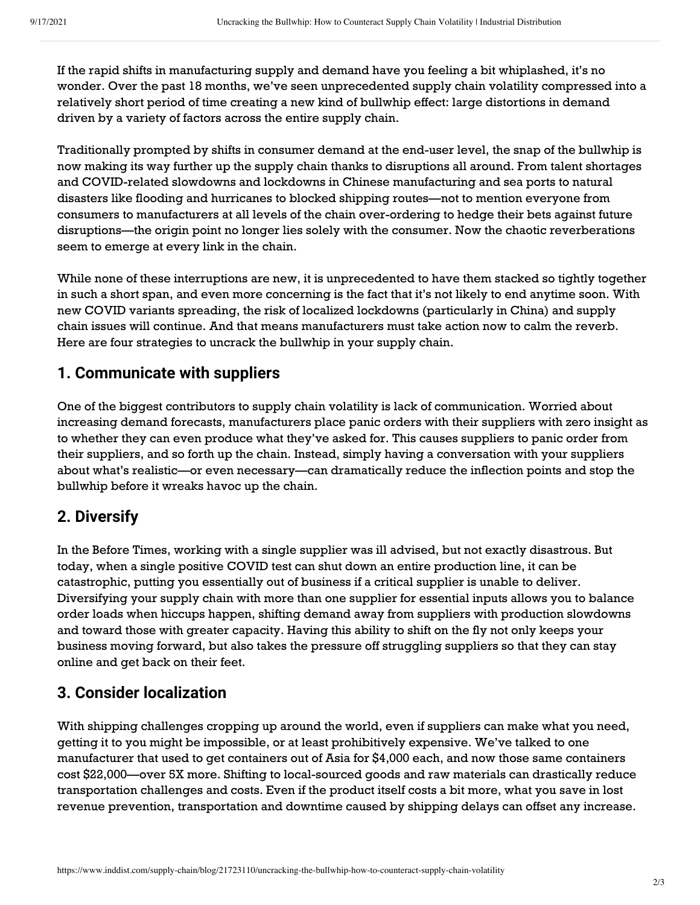If the rapid shifts in manufacturing supply and demand have you feeling a bit whiplashed, it's no wonder. Over the past 18 months, we've seen unprecedented supply chain volatility compressed into a relatively short period of time creating a new kind of bullwhip effect: large distortions in demand driven by a variety of factors across the entire supply chain.

Traditionally prompted by shifts in consumer demand at the end-user level, the snap of the bullwhip is now making its way further up the supply chain thanks to disruptions all around. From talent shortages and COVID-related slowdowns and lockdowns in Chinese manufacturing and sea ports to natural disasters like flooding and hurricanes to blocked shipping routes—not to mention everyone from consumers to manufacturers at all levels of the chain over-ordering to hedge their bets against future disruptions—the origin point no longer lies solely with the consumer. Now the chaotic reverberations seem to emerge at every link in the chain.

While none of these interruptions are new, it is unprecedented to have them stacked so tightly together in such a short span, and even more concerning is the fact that it's not likely to end anytime soon. With new COVID variants spreading, the risk of localized lockdowns (particularly in China) and supply chain issues will continue. And that means manufacturers must take action now to calm the reverb. Here are four strategies to uncrack the bullwhip in your supply chain.

#### **1. Communicate with suppliers**

One of the biggest contributors to supply chain volatility is lack of communication. Worried about increasing demand forecasts, manufacturers place panic orders with their suppliers with zero insight as to whether they can even produce what they've asked for. This causes suppliers to panic order from their suppliers, and so forth up the chain. Instead, simply having a conversation with your suppliers about what's realistic—or even necessary—can dramatically reduce the inflection points and stop the bullwhip before it wreaks havoc up the chain.

#### **2. Diversify**

and to ward diose width greater expassive radiusly due as any to similar and my rist can proops your<br>business moving forward, but also takes the pressure off struggling suppliers so that they can stay In the Before Times, working with a single supplier was ill advised, but not exactly disastrous. But today, when a single positive COVID test can shut down an entire production line, it can be catastrophic, putting you essentially out of business if a critical supplier is unable to deliver. Diversifying your supply chain with more than one supplier for essential inputs allows you to balance order loads when hiccups happen, shifting demand away from suppliers with production slowdowns and toward those with greater capacity. Having this ability to shift on the fly not only keeps your online and get back on their feet.

### **3. Consider localization**

With shipping challenges cropping up around the world, even if suppliers can make what you need, getting it to you might be impossible, or at least prohibitively expensive. We've talked to one manufacturer that used to get containers out of Asia for \$4,000 each, and now those same containers cost \$22,000—over 5X more. Shifting to local-sourced goods and raw materials can drastically reduce transportation challenges and costs. Even if the product itself costs a bit more, what you save in lost revenue prevention, transportation and downtime caused by shipping delays can offset any increase.